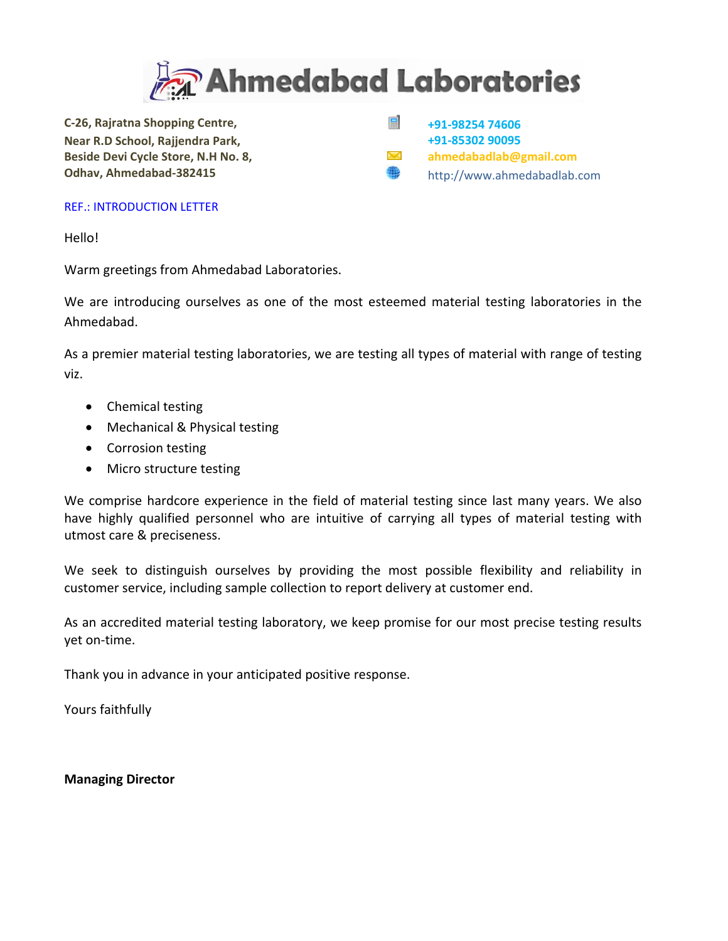

**C‐26, Rajratna Shopping Centre, Near R.D School, Rajjendra Park, Beside Devi Cycle Store, N.H No. 8, Odhav, Ahmedabad‐382415**

E **+91‐98254 74606 +91‐85302 90095 ahmedabadlab@gmail.com** ₩ http://www.ahmedabadlab.com

#### REF.: INTRODUCTION LETTER

Hello!

Warm greetings from Ahmedabad Laboratories.

We are introducing ourselves as one of the most esteemed material testing laboratories in the Ahmedabad.

As a premier material testing laboratories, we are testing all types of material with range of testing viz.

- Chemical testing
- Mechanical & Physical testing
- Corrosion testing
- Micro structure testing

We comprise hardcore experience in the field of material testing since last many years. We also have highly qualified personnel who are intuitive of carrying all types of material testing with utmost care & preciseness.

We seek to distinguish ourselves by providing the most possible flexibility and reliability in customer service, including sample collection to report delivery at customer end.

As an accredited material testing laboratory, we keep promise for our most precise testing results yet on‐time.

Thank you in advance in your anticipated positive response.

Yours faithfully

**Managing Director**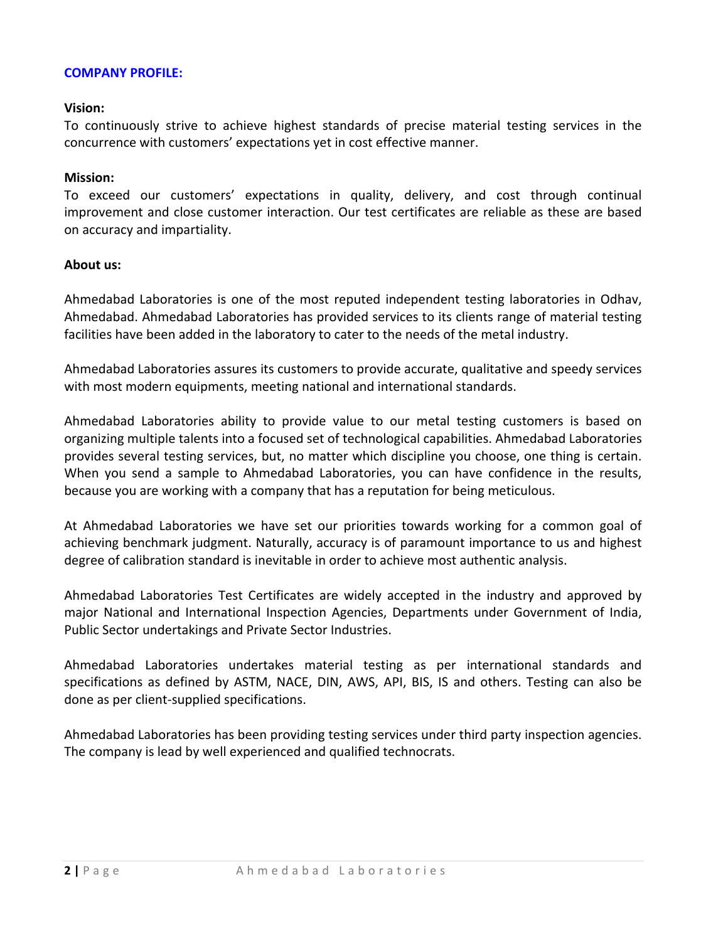#### **COMPANY PROFILE:**

#### **Vision:**

To continuously strive to achieve highest standards of precise material testing services in the concurrence with customers' expectations yet in cost effective manner.

#### **Mission:**

To exceed our customers' expectations in quality, delivery, and cost through continual improvement and close customer interaction. Our test certificates are reliable as these are based on accuracy and impartiality.

#### **About us:**

Ahmedabad Laboratories is one of the most reputed independent testing laboratories in Odhav, Ahmedabad. Ahmedabad Laboratories has provided services to its clients range of material testing facilities have been added in the laboratory to cater to the needs of the metal industry.

Ahmedabad Laboratories assures its customers to provide accurate, qualitative and speedy services with most modern equipments, meeting national and international standards.

Ahmedabad Laboratories ability to provide value to our metal testing customers is based on organizing multiple talents into a focused set of technological capabilities. Ahmedabad Laboratories provides several testing services, but, no matter which discipline you choose, one thing is certain. When you send a sample to Ahmedabad Laboratories, you can have confidence in the results, because you are working with a company that has a reputation for being meticulous.

At Ahmedabad Laboratories we have set our priorities towards working for a common goal of achieving benchmark judgment. Naturally, accuracy is of paramount importance to us and highest degree of calibration standard is inevitable in order to achieve most authentic analysis.

Ahmedabad Laboratories Test Certificates are widely accepted in the industry and approved by major National and International Inspection Agencies, Departments under Government of India, Public Sector undertakings and Private Sector Industries.

Ahmedabad Laboratories undertakes material testing as per international standards and specifications as defined by ASTM, NACE, DIN, AWS, API, BIS, IS and others. Testing can also be done as per client‐supplied specifications.

Ahmedabad Laboratories has been providing testing services under third party inspection agencies. The company is lead by well experienced and qualified technocrats.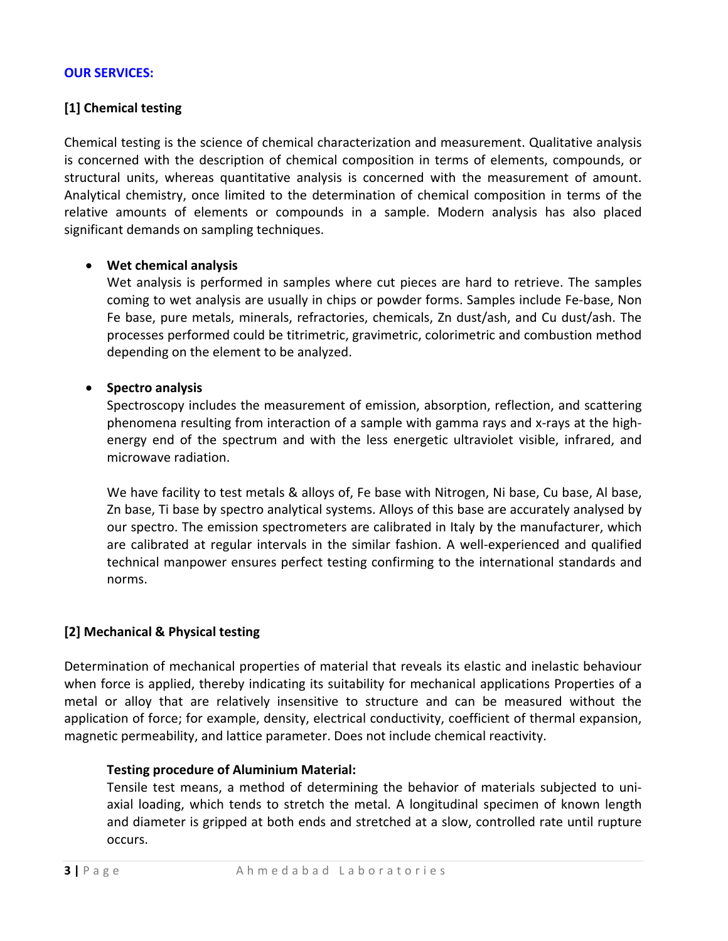# **OUR SERVICES:**

# **[1] Chemical testing**

Chemical testing is the science of chemical characterization and measurement. Qualitative analysis is concerned with the description of chemical composition in terms of elements, compounds, or structural units, whereas quantitative analysis is concerned with the measurement of amount. Analytical chemistry, once limited to the determination of chemical composition in terms of the relative amounts of elements or compounds in a sample. Modern analysis has also placed significant demands on sampling techniques.

# • **Wet chemical analysis**

Wet analysis is performed in samples where cut pieces are hard to retrieve. The samples coming to wet analysis are usually in chips or powder forms. Samples include Fe‐base, Non Fe base, pure metals, minerals, refractories, chemicals, Zn dust/ash, and Cu dust/ash. The processes performed could be titrimetric, gravimetric, colorimetric and combustion method depending on the element to be analyzed.

# • **Spectro analysis**

Spectroscopy includes the measurement of emission, absorption, reflection, and scattering phenomena resulting from interaction of a sample with gamma rays and x‐rays at the high‐ energy end of the spectrum and with the less energetic ultraviolet visible, infrared, and microwave radiation.

We have facility to test metals & alloys of, Fe base with Nitrogen, Ni base, Cu base, Al base, Zn base, Ti base by spectro analytical systems. Alloys of this base are accurately analysed by our spectro. The emission spectrometers are calibrated in Italy by the manufacturer, which are calibrated at regular intervals in the similar fashion. A well-experienced and qualified technical manpower ensures perfect testing confirming to the international standards and norms.

# **[2] Mechanical & Physical testing**

Determination of mechanical properties of material that reveals its elastic and inelastic behaviour when force is applied, thereby indicating its suitability for mechanical applications Properties of a metal or alloy that are relatively insensitive to structure and can be measured without the application of force; for example, density, electrical conductivity, coefficient of thermal expansion, magnetic permeability, and lattice parameter. Does not include chemical reactivity.

# **Testing procedure of Aluminium Material:**

Tensile test means, a method of determining the behavior of materials subjected to uni‐ axial loading, which tends to stretch the metal. A longitudinal specimen of known length and diameter is gripped at both ends and stretched at a slow, controlled rate until rupture occurs.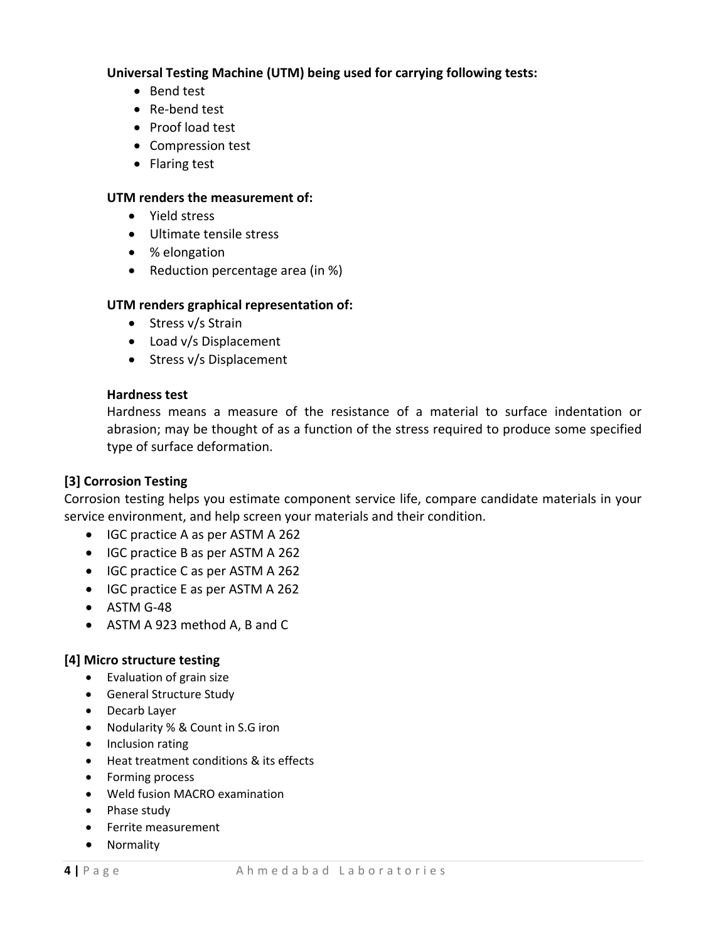**Universal Testing Machine (UTM) being used for carrying following tests:**

- Bend test
- Re-bend test
- Proof load test
- Compression test
- Flaring test

#### **UTM renders the measurement of:**

- Yield stress
- Ultimate tensile stress
- % elongation
- Reduction percentage area (in %)

# **UTM renders graphical representation of:**

- Stress v/s Strain
- Load v/s Displacement
- Stress v/s Displacement

#### **Hardness test**

Hardness means a measure of the resistance of a material to surface indentation or abrasion; may be thought of as a function of the stress required to produce some specified type of surface deformation.

# **[3] Corrosion Testing**

Corrosion testing helps you estimate component service life, compare candidate materials in your service environment, and help screen your materials and their condition.

- IGC practice A as per ASTM A 262
- IGC practice B as per ASTM A 262
- IGC practice C as per ASTM A 262
- IGC practice E as per ASTM A 262
- ASTM G-48
- ASTM A 923 method A, B and C

# **[4] Micro structure testing**

- Evaluation of grain size
- General Structure Study
- Decarb Layer
- Nodularity % & Count in S.G iron
- Inclusion rating
- Heat treatment conditions & its effects
- Forming process
- Weld fusion MACRO examination
- Phase study
- Ferrite measurement
- Normality